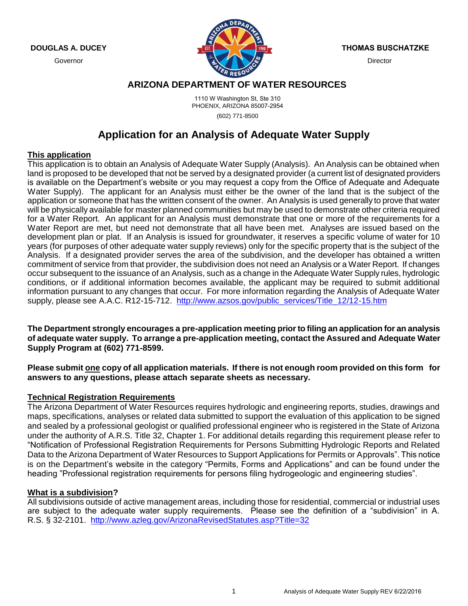**DOUGLAS A. DUCEY**

Governor



**THOMAS BUSCHATZKE**

**Director** 

# **ARIZONA DEPARTMENT OF WATER RESOURCES**

1110 W Washington St, Ste 310 PHOENIX, ARIZONA 85007-2954 (602) 771-8500

# **Application for an Analysis of Adequate Water Supply**

#### **This application**

This application is to obtain an Analysis of Adequate Water Supply (Analysis). An Analysis can be obtained when land is proposed to be developed that not be served by a designated provider (a current list of designated providers is available on the Department's website or you may request a copy from the Office of Adequate and Adequate Water Supply). The applicant for an Analysis must either be the owner of the land that is the subject of the application or someone that has the written consent of the owner. An Analysis is used generally to prove that water will be physically available for master planned communities but may be used to demonstrate other criteria required for a Water Report. An applicant for an Analysis must demonstrate that one or more of the requirements for a Water Report are met, but need not demonstrate that all have been met. Analyses are issued based on the development plan or plat. If an Analysis is issued for groundwater, it reserves a specific volume of water for 10 years (for purposes of other adequate water supply reviews) only for the specific property that is the subject of the Analysis. If a designated provider serves the area of the subdivision, and the developer has obtained a written commitment of service from that provider, the subdivision does not need an Analysis or a Water Report. If changes occur subsequent to the issuance of an Analysis, such as a change in the Adequate Water Supply rules, hydrologic conditions, or if additional information becomes available, the applicant may be required to submit additional information pursuant to any changes that occur. For more information regarding the Analysis of Adequate Water supply, please see A.A.C. R12-15-712. [http://www.azsos.gov/public\\_services/Title\\_12/12-15.htm](http://www.azsos.gov/public_services/Title_12/12-15.htm)

**The Department strongly encourages a pre-application meeting prior to filing an application for an analysis of adequate water supply. To arrange a pre-application meeting, contact the Assured and Adequate Water Supply Program at (602) 771-8599.**

**Please submit one copy of all application materials. If there is not enough room provided on this form for answers to any questions, please attach separate sheets as necessary.** 

### **Technical Registration Requirements**

The Arizona Department of Water Resources requires hydrologic and engineering reports, studies, drawings and maps, specifications, analyses or related data submitted to support the evaluation of this application to be signed and sealed by a professional geologist or qualified professional engineer who is registered in the State of Arizona under the authority of A.R.S. Title 32, Chapter 1. For additional details regarding this requirement please refer to "Notification of Professional Registration Requirements for Persons Submitting Hydrologic Reports and Related Data to the Arizona Department of Water Resources to Support Applications for Permits or Approvals". This notice is on the Department's website in the category "Permits, Forms and Applications" and can be found under the heading "Professional registration requirements for persons filing hydrogeologic and engineering studies".

#### **What is a subdivision?**

All subdivisions outside of active management areas, including those for residential, commercial or industrial uses are subject to the adequate water supply requirements. Please see the definition of a "subdivision" in A. R.S. § 32-2101. <http://www.azleg.gov/ArizonaRevisedStatutes.asp?Title=32>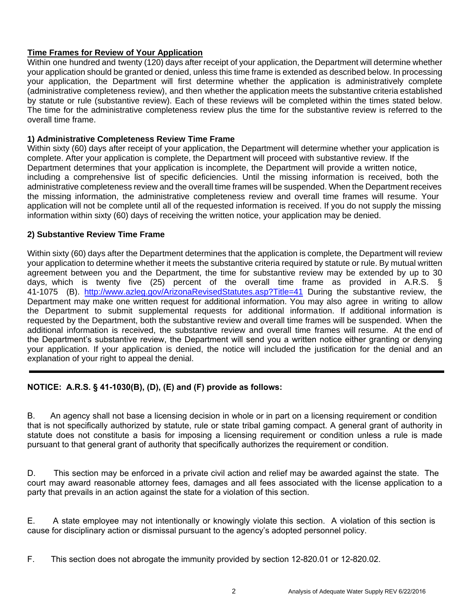# **Time Frames for Review of Your Application**

Within one hundred and twenty (120) days after receipt of your application, the Department will determine whether your application should be granted or denied, unless this time frame is extended as described below. In processing your application, the Department will first determine whether the application is administratively complete (administrative completeness review), and then whether the application meets the substantive criteria established by statute or rule (substantive review). Each of these reviews will be completed within the times stated below. The time for the administrative completeness review plus the time for the substantive review is referred to the overall time frame.

### **1) Administrative Completeness Review Time Frame**

Within sixty (60) days after receipt of your application, the Department will determine whether your application is complete. After your application is complete, the Department will proceed with substantive review. If the Department determines that your application is incomplete, the Department will provide a written notice, including a comprehensive list of specific deficiencies. Until the missing information is received, both the administrative completeness review and the overall time frames will be suspended. When the Department receives the missing information, the administrative completeness review and overall time frames will resume. Your application will not be complete until all of the requested information is received. If you do not supply the missing information within sixty (60) days of receiving the written notice, your application may be denied.

### **2) Substantive Review Time Frame**

Within sixty (60) days after the Department determines that the application is complete, the Department will review your application to determine whether it meets the substantive criteria required by statute or rule. By mutual written agreement between you and the Department, the time for substantive review may be extended by up to 30 days, which is twenty five (25) percent of the overall time frame as provided in A.R.S. § 41-1075 (B). http://www.azleg.gov/ArizonaRevisedStatutes.asp?Title=41 During the substantive review, the [Department may make one written request for additional in](http://www.azleg.gov/ArizonaRevisedStatutes.asp?Title=41)formation. You may also agree in writing to allow the Department to submit supplemental requests for additional information. If additional information is requested by the Department, both the substantive review and overall time frames will be suspended. When the additional information is received, the substantive review and overall time frames will resume. At the end of the Department's substantive review, the Department will send you a written notice either granting or denying your application. If your application is denied, the notice will included the justification for the denial and an explanation of your right to appeal the denial.

# **NOTICE: A.R.S. § 41-1030(B), (D), (E) and (F) provide as follows:**

B. An agency shall not base a licensing decision in whole or in part on a licensing requirement or condition that is not specifically authorized by statute, rule or state tribal gaming compact. A general grant of authority in statute does not constitute a basis for imposing a licensing requirement or condition unless a rule is made pursuant to that general grant of authority that specifically authorizes the requirement or condition.

D. This section may be enforced in a private civil action and relief may be awarded against the state. The court may award reasonable attorney fees, damages and all fees associated with the license application to a party that prevails in an action against the state for a violation of this section.

E. A state employee may not intentionally or knowingly violate this section. A violation of this section is cause for disciplinary action or dismissal pursuant to the agency's adopted personnel policy.

F. This section does not abrogate the immunity provided by section 12-820.01 or 12-820.02.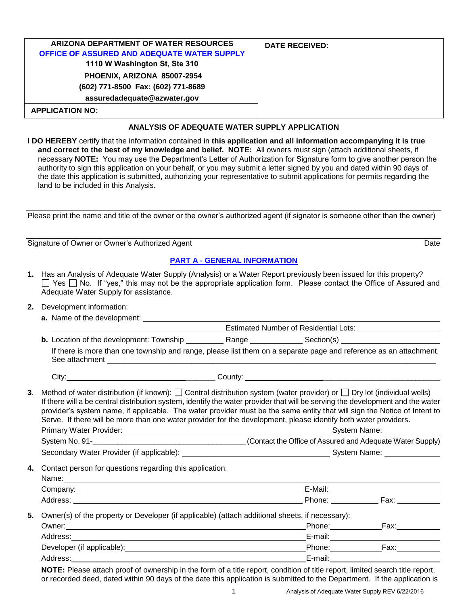| ARIZONA DEPARTMENT OF WATER RESOURCES<br>OFFICE OF ASSURED AND ADEQUATE WATER SUPPLY<br>1110 W Washington St, Ste 310 | <b>DATE RECEIVED:</b> |
|-----------------------------------------------------------------------------------------------------------------------|-----------------------|
| PHOENIX, ARIZONA 85007-2954                                                                                           |                       |
| (602) 771-8500 Fax: (602) 771-8689                                                                                    |                       |
| assuredadequate@azwater.gov                                                                                           |                       |
| <b>APPLICATION NO:</b>                                                                                                |                       |

#### **ANALYSIS OF ADEQUATE WATER SUPPLY APPLICATION**

**I DO HEREBY** certify that the information contained in **this application and all information accompanying it is true and correct to the best of my knowledge and belief. NOTE:** All owners must sign (attach additional sheets, if necessary **NOTE:** You may use the Department's Letter of Authorization for Signature form to give another person the authority to sign this application on your behalf, or you may submit a letter signed by you and dated within 90 days of the date this application is submitted, authorizing your representative to submit applications for permits regarding the land to be included in this Analysis.

Please print the name and title of the owner or the owner's authorized agent (if signator is someone other than the owner)

Signature of Owner or Owner's Authorized Agent Date

#### **PART A - GENERAL INFORMATION**

- **1.** Has an Analysis of Adequate Water Supply (Analysis) or a Water Report previously been issued for this property?  $\Box$  Yes  $\Box$  No. If "yes," this may not be the appropriate application form. Please contact the Office of Assured and Adequate Water Supply for assistance.
- **2.** Development information:
	- **a.** Name of the development:

|   |     |  |  |  | nated Number of Residential Lots: |  |  |
|---|-----|--|--|--|-----------------------------------|--|--|
| . | --- |  |  |  |                                   |  |  |

**b.** Location of the development: Township Range Range Range Rection(s) If there is more than one township and range, please list them on a separate page and reference as an attachment. See attachment \_\_\_\_\_\_\_\_\_\_\_\_\_\_\_\_\_\_\_\_\_\_\_\_\_\_\_\_\_\_\_\_\_\_\_\_\_\_\_\_\_\_\_\_\_\_\_\_\_\_\_\_\_\_\_\_\_\_\_\_\_\_\_\_\_\_\_\_\_\_\_\_\_\_\_\_\_\_

City: \_\_\_\_\_\_\_ County: \_\_\_\_\_\_\_\_\_\_\_\_\_\_\_\_\_\_\_\_\_\_\_\_\_\_\_\_

**3.** Method of water distribution (if known):  $\Box$  Central distribution system (water provider) or  $\Box$  Dry lot (individual wells) If there will a be central distribution system, identify the water provider that will be serving the development and the water provider's system name, if applicable. The water provider must be the same entity that will sign the Notice of Intent to Serve. If there will be more than one water provider for the development, please identify both water providers. Primary Water Provider:  $\qquad \qquad \qquad 3$ System No. 91-\_\_\_\_\_\_\_\_\_\_\_\_\_\_\_\_\_\_\_\_\_\_\_\_\_\_\_\_\_\_\_\_\_\_\_\_\_ (Contact the Office of Assured and Adequate Water Supply)

Secondary Water Provider (if applicable): System Name: System Name: System Name:

**4.** Contact person for questions regarding this application:

| Name:    |         |      |
|----------|---------|------|
| Company: | E-Mail: |      |
| Address: | Phone:  | Fax: |
|          |         |      |

**5.** Owner(s) of the property or Developer (if applicable) (attach additional sheets, if necessary):

| Owner:                     | Phone:  | Fax: |
|----------------------------|---------|------|
| Address:                   | E-mail: |      |
| Developer (if applicable): | Phone:  | Fax: |
| Address:                   | E-mail: |      |

**NOTE:** Please attach proof of ownership in the form of a title report, condition of title report, limited search title report, or recorded deed, dated within 90 days of the date this application is submitted to the Department. If the application is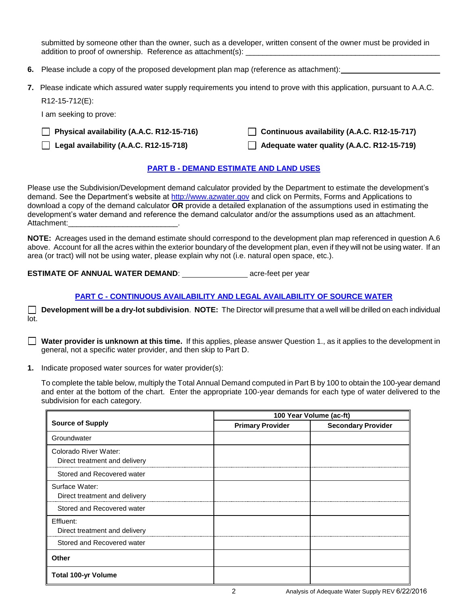submitted by someone other than the owner, such as a developer, written consent of the owner must be provided in addition to proof of ownership. Reference as attachment(s): \_\_\_\_\_\_\_\_\_\_\_\_\_\_\_\_\_\_\_\_

- **6.** Please include a copy of the proposed development plan map (reference as attachment):
- **7.** Please indicate which assured water supply requirements you intend to prove with this application, pursuant to A.A.C.

R12-15-712(E):

I am seeking to prove:

 **Physical availability (A.A.C. R12-15-716) Continuous availability (A.A.C. R12-15-717)** 

**Legal availability (A.A.C. R12-15-718) Adequate water quality (A.A.C. R12-15-719)** 

#### **PART B - DEMAND ESTIMATE AND LAND USES**

Please use the Subdivision/Development demand calculator provided by the Department to estimate the development's demand. See the Department's website at [http://www.azwater.gov](http://www.azwater.gov/) and click on Permits, Forms and Applications to download a copy of the demand calculator **OR** provide a detailed explanation of the assumptions used in estimating the development's water demand and reference the demand calculator and/or the assumptions used as an attachment. Attachment:

**NOTE:** Acreages used in the demand estimate should correspond to the development plan map referenced in question A.6 above. Account for all the acres within the exterior boundary of the development plan, even if they will not be using water. If an area (or tract) will not be using water, please explain why not (i.e. natural open space, etc.).

**ESTIMATE OF ANNUAL WATER DEMAND:** acre-feet per year

### **PART C - CONTINUOUS AVAILABILITY AND LEGAL AVAILABILITY OF SOURCE WATER**

**Development will be a dry-lot subdivision**. **NOTE:** The Director will presume that a well will be drilled on each individual lot.

**Water provider is unknown at this time.** If this applies, please answer Question 1., as it applies to the development in general, not a specific water provider, and then skip to Part D.

**1.** Indicate proposed water sources for water provider(s):

To complete the table below, multiply the Total Annual Demand computed in Part B by 100 to obtain the 100-year demand and enter at the bottom of the chart. Enter the appropriate 100-year demands for each type of water delivered to the subdivision for each category.

|                                                        | 100 Year Volume (ac-ft) |                           |  |
|--------------------------------------------------------|-------------------------|---------------------------|--|
| <b>Source of Supply</b>                                | <b>Primary Provider</b> | <b>Secondary Provider</b> |  |
| Groundwater                                            |                         |                           |  |
| Colorado River Water:<br>Direct treatment and delivery |                         |                           |  |
| Stored and Recovered water                             |                         |                           |  |
| Surface Water:<br>Direct treatment and delivery        |                         |                           |  |
| Stored and Recovered water                             |                         |                           |  |
| Effluent:<br>Direct treatment and delivery             |                         |                           |  |
| Stored and Recovered water                             |                         |                           |  |
| Other                                                  |                         |                           |  |
| <b>Total 100-yr Volume</b>                             |                         |                           |  |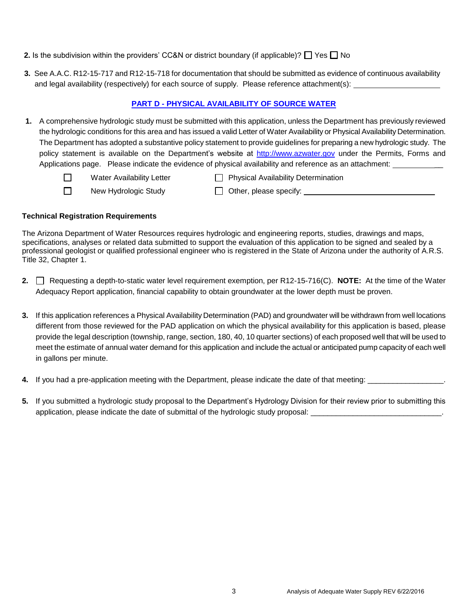#### **2.** Is the subdivision within the providers' CC&N or district boundary (if applicable)?  $\Box$  Yes  $\Box$  No

**3.** See A.A.C. R12-15-717 and R12-15-718 for documentation that should be submitted as evidence of continuous availability and legal availability (respectively) for each source of supply. Please reference attachment(s):

### **PART D - PHYSICAL AVAILABILITY OF SOURCE WATER**

- **1.** A comprehensive hydrologic study must be submitted with this application, unless the Department has previously reviewed the hydrologic conditions for this area and has issued a valid Letter of Water Availability or Physical Availability Determination. The Department has adopted a substantive policy statement to provide guidelines for preparing a new hydrologic study. The policy statement is available on the Department's website at [http://www.azwater.gov](http://www.azwater.gov/) under the Permits, Forms and Applications page. Please indicate the evidence of physical availability and reference as an attachment: \_\_\_\_\_\_\_\_
	- $\Box$ Water Availability Letter  $\Box$  Physical Availability Determination  $\Box$
- 
- 
- New Hydrologic Study  $\Box$  Other, please specify:  $\Box$

#### **Technical Registration Requirements**

The Arizona Department of Water Resources requires hydrologic and engineering reports, studies, drawings and maps, specifications, analyses or related data submitted to support the evaluation of this application to be signed and sealed by a professional geologist or qualified professional engineer who is registered in the State of Arizona under the authority of A.R.S. Title 32, Chapter 1.

- **2.** Requesting a depth-to-static water level requirement exemption, per R12-15-716(C). **NOTE:** At the time of the Water Adequacy Report application, financial capability to obtain groundwater at the lower depth must be proven.
- **3.** If this application references a Physical Availability Determination (PAD) and groundwater will be withdrawn from well locations different from those reviewed for the PAD application on which the physical availability for this application is based, please provide the legal description (township, range, section, 180, 40, 10 quarter sections) of each proposed well that will be used to meet the estimate of annual water demand for this application and include the actual or anticipated pump capacity of each well in gallons per minute.
- **4.** If you had a pre-application meeting with the Department, please indicate the date of that meeting:
- **5.** If you submitted a hydrologic study proposal to the Department's Hydrology Division for their review prior to submitting this application, please indicate the date of submittal of the hydrologic study proposal: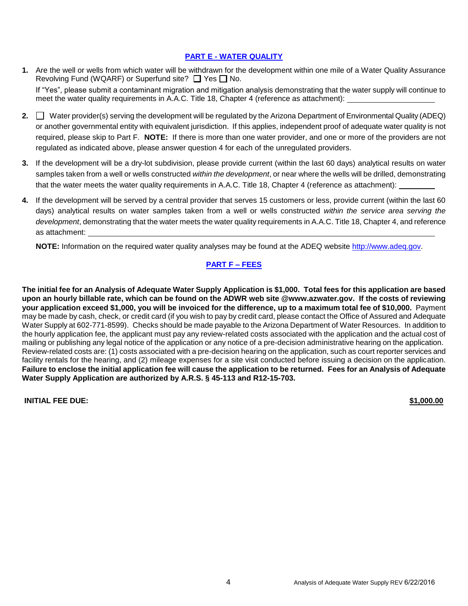#### **PART E - WATER QUALITY**

- **1.** Are the well or wells from which water will be withdrawn for the development within one mile of a Water Quality Assurance Revolving Fund (WQARF) or Superfund site?  $\Box$  Yes  $\Box$  No. If "Yes", please submit a contaminant migration and mitigation analysis demonstrating that the water supply will continue to meet the water quality requirements in A.A.C. Title 18, Chapter 4 (reference as attachment):
- **2.**  $\Box$  Water provider(s) serving the development will be regulated by the Arizona Department of Environmental Quality (ADEQ) or another governmental entity with equivalent jurisdiction. If this applies, independent proof of adequate water quality is not required, please skip to Part F. **NOTE:** If there is more than one water provider, and one or more of the providers are not regulated as indicated above, please answer question 4 for each of the unregulated providers.
- **3.** If the development will be a dry-lot subdivision, please provide current (within the last 60 days) analytical results on water samples taken from a well or wells constructed *within the development*, or near where the wells will be drilled, demonstrating that the water meets the water quality requirements in A.A.C. Title 18, Chapter 4 (reference as attachment):
- **4.** If the development will be served by a central provider that serves 15 customers or less, provide current (within the last 60 days) analytical results on water samples taken from a well or wells constructed *within the service area serving the development*, demonstrating that the water meets the water quality requirements in A.A.C. Title 18, Chapter 4, and reference as attachment:

**NOTE:** Information on the required water quality analyses may be found at the ADEQ website [http://www.adeq.gov.](http://www.adeq.state.az.us/environ/water/dw/index.html)

### **PART F – FEES**

**The initial fee for an Analysis of Adequate Water Supply Application is \$1,000. Total fees for this application are based upon an hourly billable rate, which can be found on the ADWR web site @www.azwater.gov. If the costs of reviewing your application exceed \$1,000, you will be invoiced for the difference, up to a maximum total fee of \$10,000.** Payment may be made by cash, check, or credit card (if you wish to pay by credit card, please contact the Office of Assured and Adequate Water Supply at 602-771-8599). Checks should be made payable to the Arizona Department of Water Resources. In addition to the hourly application fee, the applicant must pay any review-related costs associated with the application and the actual cost of mailing or publishing any legal notice of the application or any notice of a pre-decision administrative hearing on the application. Review-related costs are: (1) costs associated with a pre-decision hearing on the application, such as court reporter services and facility rentals for the hearing, and (2) mileage expenses for a site visit conducted before issuing a decision on the application. **Failure to enclose the initial application fee will cause the application to be returned. Fees for an Analysis of Adequate Water Supply Application are authorized by A.R.S. § 45-113 and R12-15-703.**

**INITIAL FEE DUE: \$1,000.00**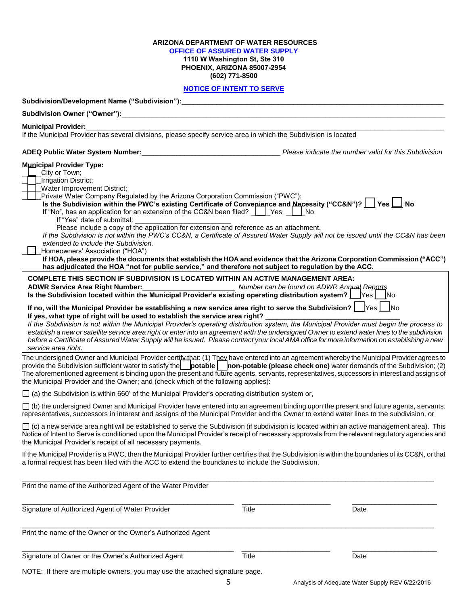# **ARIZONA DEPARTMENT OF WATER RESOURCES**

# **OFFICE OF ASSURED WATER SUPPLY**

**1110 W Washington St, Ste 310 PHOENIX, ARIZONA 85007-2954 (602) 771-8500**

#### **NOTICE OF INTENT TO SERVE**

| Subdivision/Development Name ("Subdivision"): __________________________________                                                                                                                                                                                                                                                                                                                                                                                                                                                                                                                                                                                                                                                                                                                                                                                                       |              |                                                       |
|----------------------------------------------------------------------------------------------------------------------------------------------------------------------------------------------------------------------------------------------------------------------------------------------------------------------------------------------------------------------------------------------------------------------------------------------------------------------------------------------------------------------------------------------------------------------------------------------------------------------------------------------------------------------------------------------------------------------------------------------------------------------------------------------------------------------------------------------------------------------------------------|--------------|-------------------------------------------------------|
|                                                                                                                                                                                                                                                                                                                                                                                                                                                                                                                                                                                                                                                                                                                                                                                                                                                                                        |              |                                                       |
| <b>Municipal Provider:</b>                                                                                                                                                                                                                                                                                                                                                                                                                                                                                                                                                                                                                                                                                                                                                                                                                                                             |              |                                                       |
| If the Municipal Provider has several divisions, please specify service area in which the Subdivision is located                                                                                                                                                                                                                                                                                                                                                                                                                                                                                                                                                                                                                                                                                                                                                                       |              |                                                       |
| ADEQ Public Water System Number:                                                                                                                                                                                                                                                                                                                                                                                                                                                                                                                                                                                                                                                                                                                                                                                                                                                       |              | Please indicate the number valid for this Subdivision |
| <b>Municipal Provider Type:</b><br>City or Town;<br>Irrigation District;<br>Water Improvement District;<br>Private Water Company Regulated by the Arizona Corporation Commission ("PWC"):<br>Is the Subdivision within the PWC's existing Certificate of Convepience and Necessity ("CC&N")?   Yes   Ves<br>If "Yes" date of submittal:<br>Please include a copy of the application for extension and reference as an attachment.<br>If the Subdivision is not within the PWC's CC&N, a Certificate of Assured Water Supply will not be issued until the CC&N has been<br>extended to include the Subdivision.<br>Homeowners' Association ("HOA")<br>If HOA, please provide the documents that establish the HOA and evidence that the Arizona Corporation Commission ("ACC")<br>has adjudicated the HOA "not for public service," and therefore not subject to regulation by the ACC. |              |                                                       |
| <b>COMPLETE THIS SECTION IF SUBDIVISION IS LOCATED WITHIN AN ACTIVE MANAGEMENT AREA:</b>                                                                                                                                                                                                                                                                                                                                                                                                                                                                                                                                                                                                                                                                                                                                                                                               |              |                                                       |
| Is the Subdivision located within the Municipal Provider's existing operating distribution system?   Yes   No                                                                                                                                                                                                                                                                                                                                                                                                                                                                                                                                                                                                                                                                                                                                                                          |              |                                                       |
| If no, will the Municipal Provider be establishing a new service area right to serve the Subdivision? $\lfloor$ Yes $\lfloor$ No<br>If yes, what type of right will be used to establish the service area right?<br>If the Subdivision is not within the Municipal Provider's operating distribution system, the Municipal Provider must begin the process to<br>establish a new or satellite service area right or enter into an agreement with the undersigned Owner to extend water lines to the subdivision<br>before a Certificate of Assured Water Supply will be issued. Please contact your local AMA office for more information on establishing a new<br>service area right.                                                                                                                                                                                                 |              |                                                       |
| The undersigned Owner and Municipal Provider certify that: (1) They have entered into an agreement whereby the Municipal Provider agrees to<br>provide the Subdivision sufficient water to satisfy the $ $ potable $ $ non-potable (please check one) water demands of the Subdivision; (2)<br>The aforementioned agreement is binding upon the present and future agents, servants, representatives, successors in interest and assigns of<br>the Municipal Provider and the Owner; and (check which of the following applies):                                                                                                                                                                                                                                                                                                                                                       |              |                                                       |
| $\Box$ (a) the Subdivision is within 660' of the Municipal Provider's operating distribution system or,                                                                                                                                                                                                                                                                                                                                                                                                                                                                                                                                                                                                                                                                                                                                                                                |              |                                                       |
| □ (b) the undersigned Owner and Municipal Provider have entered into an agreement binding upon the present and future agents, servants,<br>representatives, successors in interest and assigns of the Municipal Provider and the Owner to extend water lines to the subdivision, or                                                                                                                                                                                                                                                                                                                                                                                                                                                                                                                                                                                                    |              |                                                       |
| $\Box$ (c) a new service area right will be established to serve the Subdivision (if subdivision is located within an active management area). This<br>Notice of Intent to Serve is conditioned upon the Municipal Provider's receipt of necessary approvals from the relevant regulatory agencies and<br>the Municipal Provider's receipt of all necessary payments.                                                                                                                                                                                                                                                                                                                                                                                                                                                                                                                  |              |                                                       |
| If the Municipal Provider is a PWC, then the Municipal Provider further certifies that the Subdivision is within the boundaries of its CC&N, or that<br>a formal request has been filed with the ACC to extend the boundaries to include the Subdivision.                                                                                                                                                                                                                                                                                                                                                                                                                                                                                                                                                                                                                              |              |                                                       |
| Print the name of the Authorized Agent of the Water Provider                                                                                                                                                                                                                                                                                                                                                                                                                                                                                                                                                                                                                                                                                                                                                                                                                           |              |                                                       |
| Signature of Authorized Agent of Water Provider                                                                                                                                                                                                                                                                                                                                                                                                                                                                                                                                                                                                                                                                                                                                                                                                                                        | <b>Title</b> | Date                                                  |
| Print the name of the Owner or the Owner's Authorized Agent                                                                                                                                                                                                                                                                                                                                                                                                                                                                                                                                                                                                                                                                                                                                                                                                                            |              |                                                       |
| Signature of Owner or the Owner's Authorized Agent                                                                                                                                                                                                                                                                                                                                                                                                                                                                                                                                                                                                                                                                                                                                                                                                                                     | Title        | Date                                                  |

NOTE: If there are multiple owners, you may use the attached signature page.